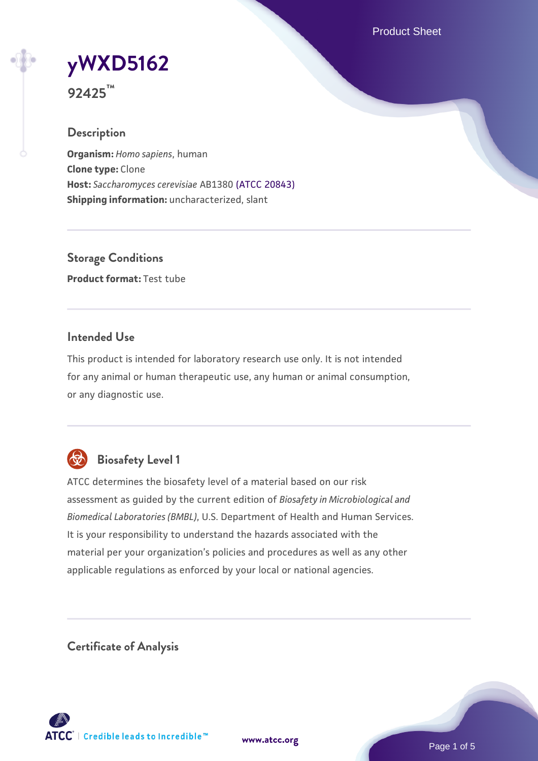Product Sheet

# **[yWXD5162](https://www.atcc.org/products/92425)**

**92425™**

# **Description**

**Organism:** *Homo sapiens*, human **Clone type:** Clone **Host:** *Saccharomyces cerevisiae* AB1380 [\(ATCC 20843\)](https://www.atcc.org/products/20843) **Shipping information:** uncharacterized, slant

**Storage Conditions Product format:** Test tube

# **Intended Use**

This product is intended for laboratory research use only. It is not intended for any animal or human therapeutic use, any human or animal consumption, or any diagnostic use.



# **Biosafety Level 1**

ATCC determines the biosafety level of a material based on our risk assessment as guided by the current edition of *Biosafety in Microbiological and Biomedical Laboratories (BMBL)*, U.S. Department of Health and Human Services. It is your responsibility to understand the hazards associated with the material per your organization's policies and procedures as well as any other applicable regulations as enforced by your local or national agencies.

**Certificate of Analysis**

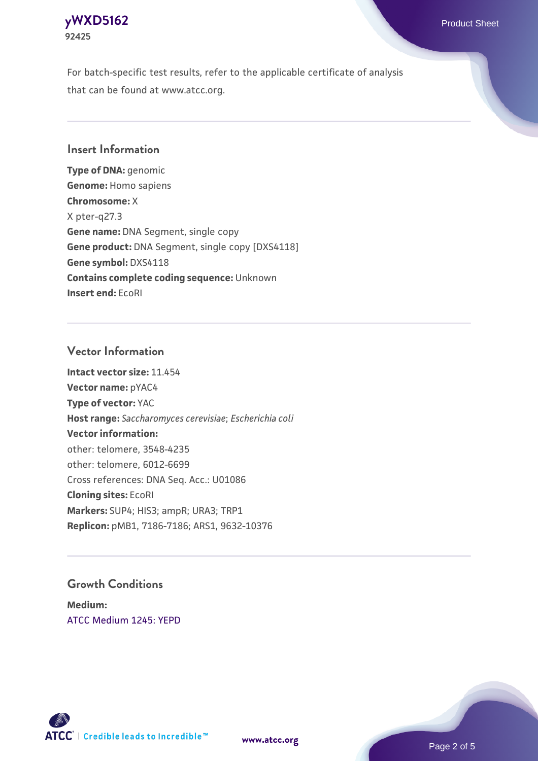# **[yWXD5162](https://www.atcc.org/products/92425)** Product Sheet **92425**

For batch-specific test results, refer to the applicable certificate of analysis that can be found at www.atcc.org.

# **Insert Information**

**Type of DNA:** genomic **Genome:** Homo sapiens **Chromosome:** X X pter-q27.3 **Gene name:** DNA Segment, single copy **Gene product:** DNA Segment, single copy [DXS4118] **Gene symbol:** DXS4118 **Contains complete coding sequence:** Unknown **Insert end:** EcoRI

# **Vector Information**

**Intact vector size:** 11.454 **Vector name:** pYAC4 **Type of vector:** YAC **Host range:** *Saccharomyces cerevisiae*; *Escherichia coli* **Vector information:** other: telomere, 3548-4235 other: telomere, 6012-6699 Cross references: DNA Seq. Acc.: U01086 **Cloning sites:** EcoRI **Markers:** SUP4; HIS3; ampR; URA3; TRP1 **Replicon:** pMB1, 7186-7186; ARS1, 9632-10376

# **Growth Conditions**

**Medium:**  [ATCC Medium 1245: YEPD](https://www.atcc.org/-/media/product-assets/documents/microbial-media-formulations/1/2/4/5/atcc-medium-1245.pdf?rev=705ca55d1b6f490a808a965d5c072196)



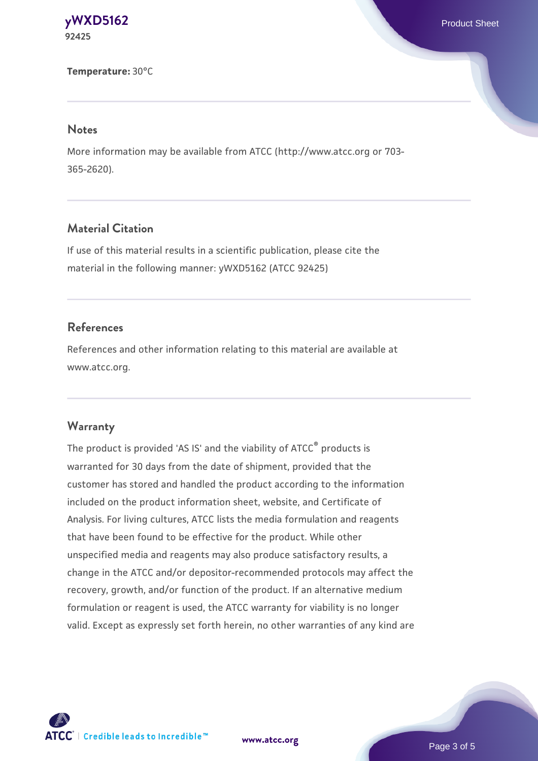## **[yWXD5162](https://www.atcc.org/products/92425)** Product Sheet **92425**

#### **Temperature:** 30°C

## **Notes**

More information may be available from ATCC (http://www.atcc.org or 703- 365-2620).

# **Material Citation**

If use of this material results in a scientific publication, please cite the material in the following manner: yWXD5162 (ATCC 92425)

## **References**

References and other information relating to this material are available at www.atcc.org.

### **Warranty**

The product is provided 'AS IS' and the viability of ATCC® products is warranted for 30 days from the date of shipment, provided that the customer has stored and handled the product according to the information included on the product information sheet, website, and Certificate of Analysis. For living cultures, ATCC lists the media formulation and reagents that have been found to be effective for the product. While other unspecified media and reagents may also produce satisfactory results, a change in the ATCC and/or depositor-recommended protocols may affect the recovery, growth, and/or function of the product. If an alternative medium formulation or reagent is used, the ATCC warranty for viability is no longer valid. Except as expressly set forth herein, no other warranties of any kind are



**[www.atcc.org](http://www.atcc.org)**

Page 3 of 5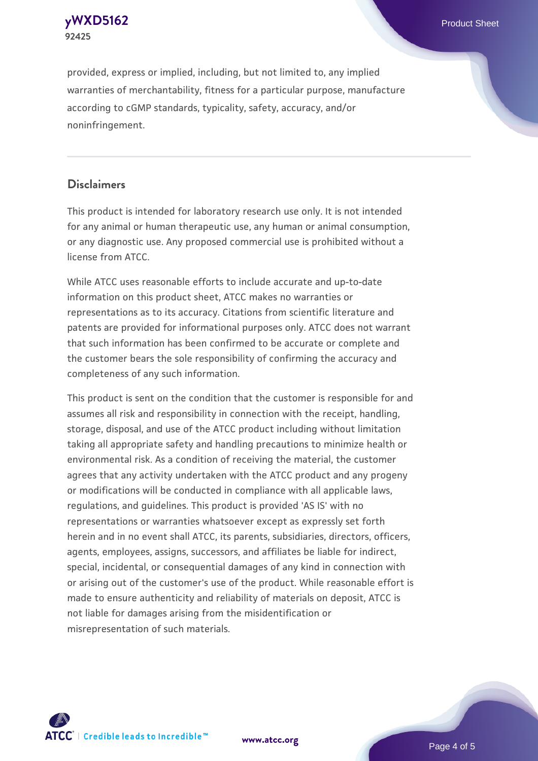**[yWXD5162](https://www.atcc.org/products/92425)** Product Sheet **92425**

provided, express or implied, including, but not limited to, any implied warranties of merchantability, fitness for a particular purpose, manufacture according to cGMP standards, typicality, safety, accuracy, and/or noninfringement.

# **Disclaimers**

This product is intended for laboratory research use only. It is not intended for any animal or human therapeutic use, any human or animal consumption, or any diagnostic use. Any proposed commercial use is prohibited without a license from ATCC.

While ATCC uses reasonable efforts to include accurate and up-to-date information on this product sheet, ATCC makes no warranties or representations as to its accuracy. Citations from scientific literature and patents are provided for informational purposes only. ATCC does not warrant that such information has been confirmed to be accurate or complete and the customer bears the sole responsibility of confirming the accuracy and completeness of any such information.

This product is sent on the condition that the customer is responsible for and assumes all risk and responsibility in connection with the receipt, handling, storage, disposal, and use of the ATCC product including without limitation taking all appropriate safety and handling precautions to minimize health or environmental risk. As a condition of receiving the material, the customer agrees that any activity undertaken with the ATCC product and any progeny or modifications will be conducted in compliance with all applicable laws, regulations, and guidelines. This product is provided 'AS IS' with no representations or warranties whatsoever except as expressly set forth herein and in no event shall ATCC, its parents, subsidiaries, directors, officers, agents, employees, assigns, successors, and affiliates be liable for indirect, special, incidental, or consequential damages of any kind in connection with or arising out of the customer's use of the product. While reasonable effort is made to ensure authenticity and reliability of materials on deposit, ATCC is not liable for damages arising from the misidentification or misrepresentation of such materials.



**[www.atcc.org](http://www.atcc.org)**

Page 4 of 5